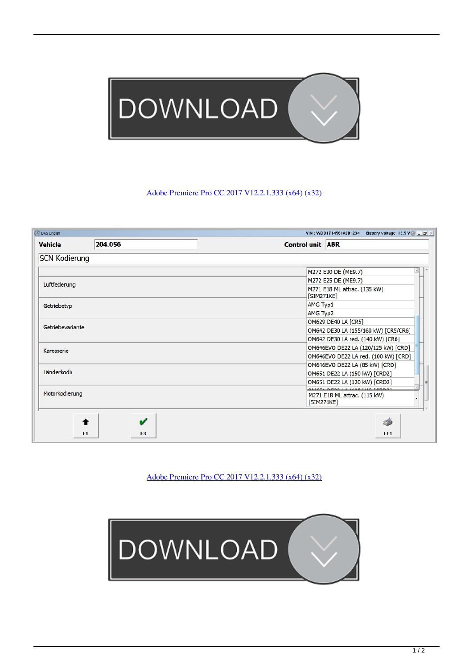

## [Adobe Premiere Pro CC 2017 V12.2.1.333 \(x64\) \(x32\)](https://geags.com/1mg0aq)

| DAS English          |                      | VIN: WDD1714561A001234<br>Battery voltage: 12.5 V $\bigotimes$ _ $\bigotimes$ $\times$ |
|----------------------|----------------------|----------------------------------------------------------------------------------------|
| <b>Vehicle</b>       | 204.056              | <b>Control unit ABR</b>                                                                |
| <b>SCN Kodierung</b> |                      |                                                                                        |
|                      |                      | M272 E30 DE (ME9.7)                                                                    |
| Luftfederung         |                      | M272 E25 DE (ME9.7)                                                                    |
|                      |                      | M271 E18 ML attrac. (135 kW)<br>[SIM271KE]                                             |
| Getriebetyp          |                      | AMG Typ1                                                                               |
|                      |                      | AMG Typ2                                                                               |
| Getriebevariante     |                      | OM629 DE40 LA [CR5]                                                                    |
|                      |                      | OM642 DE30 LA (155/160 kW) [CR5/CR6]                                                   |
|                      |                      | OM642 DE30 LA red. (140 kW) [CR6]                                                      |
| Karosserie           |                      | OM646EVO DE22 LA (120/125 kW) [CRD]                                                    |
|                      |                      | OM646EVO DE22 LA red. (100 kW) [CRD]                                                   |
|                      |                      | OM646EVO DE22 LA (85 kW) [CRD]                                                         |
| Länderkodie          |                      | OM651 DE22 LA (150 kW) [CRD2]                                                          |
|                      |                      | OM651 DE22 LA (120 kW) [CRD2]                                                          |
| Motorkodierung       |                      | LA GAR LUO CARRAT<br>M271 E18 ML attrac. (115 kW)<br>[SIM271KE]                        |
|                      | F <sub>3</sub><br>F1 | Í<br>F11                                                                               |

[Adobe Premiere Pro CC 2017 V12.2.1.333 \(x64\) \(x32\)](https://geags.com/1mg0aq)